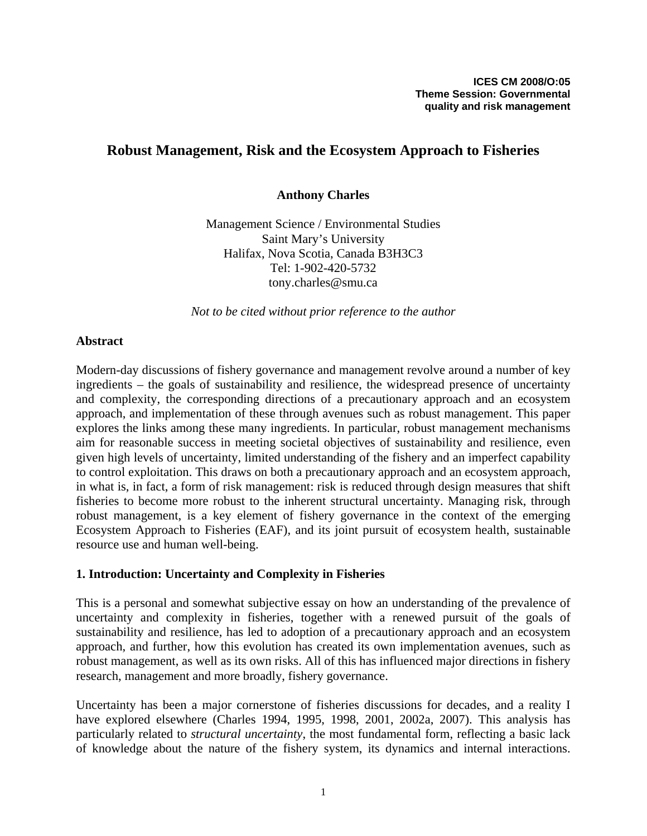# **Robust Management, Risk and the Ecosystem Approach to Fisheries**

### **Anthony Charles**

Management Science / Environmental Studies Saint Mary's University Halifax, Nova Scotia, Canada B3H3C3 Tel: 1-902-420-5732 tony.charles@smu.ca

*Not to be cited without prior reference to the author* 

### **Abstract**

Modern-day discussions of fishery governance and management revolve around a number of key ingredients – the goals of sustainability and resilience, the widespread presence of uncertainty and complexity, the corresponding directions of a precautionary approach and an ecosystem approach, and implementation of these through avenues such as robust management. This paper explores the links among these many ingredients. In particular, robust management mechanisms aim for reasonable success in meeting societal objectives of sustainability and resilience, even given high levels of uncertainty, limited understanding of the fishery and an imperfect capability to control exploitation. This draws on both a precautionary approach and an ecosystem approach, in what is, in fact, a form of risk management: risk is reduced through design measures that shift fisheries to become more robust to the inherent structural uncertainty. Managing risk, through robust management, is a key element of fishery governance in the context of the emerging Ecosystem Approach to Fisheries (EAF), and its joint pursuit of ecosystem health, sustainable resource use and human well-being.

#### **1. Introduction: Uncertainty and Complexity in Fisheries**

This is a personal and somewhat subjective essay on how an understanding of the prevalence of uncertainty and complexity in fisheries, together with a renewed pursuit of the goals of sustainability and resilience, has led to adoption of a precautionary approach and an ecosystem approach, and further, how this evolution has created its own implementation avenues, such as robust management, as well as its own risks. All of this has influenced major directions in fishery research, management and more broadly, fishery governance.

Uncertainty has been a major cornerstone of fisheries discussions for decades, and a reality I have explored elsewhere (Charles 1994, 1995, 1998, 2001, 2002a, 2007). This analysis has particularly related to *structural uncertainty*, the most fundamental form, reflecting a basic lack of knowledge about the nature of the fishery system, its dynamics and internal interactions.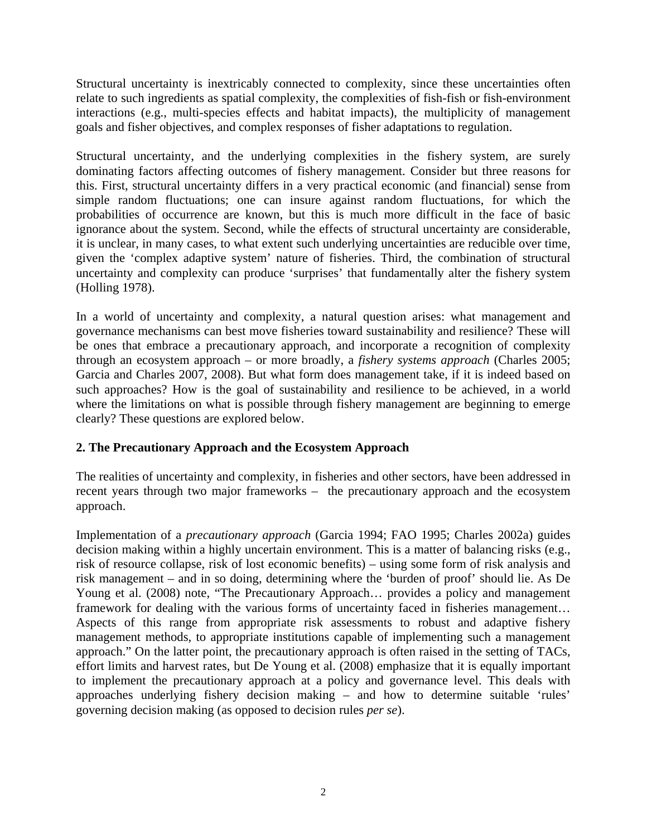Structural uncertainty is inextricably connected to complexity, since these uncertainties often relate to such ingredients as spatial complexity, the complexities of fish-fish or fish-environment interactions (e.g., multi-species effects and habitat impacts), the multiplicity of management goals and fisher objectives, and complex responses of fisher adaptations to regulation.

Structural uncertainty, and the underlying complexities in the fishery system, are surely dominating factors affecting outcomes of fishery management. Consider but three reasons for this. First, structural uncertainty differs in a very practical economic (and financial) sense from simple random fluctuations; one can insure against random fluctuations, for which the probabilities of occurrence are known, but this is much more difficult in the face of basic ignorance about the system. Second, while the effects of structural uncertainty are considerable, it is unclear, in many cases, to what extent such underlying uncertainties are reducible over time, given the 'complex adaptive system' nature of fisheries. Third, the combination of structural uncertainty and complexity can produce 'surprises' that fundamentally alter the fishery system (Holling 1978).

In a world of uncertainty and complexity, a natural question arises: what management and governance mechanisms can best move fisheries toward sustainability and resilience? These will be ones that embrace a precautionary approach, and incorporate a recognition of complexity through an ecosystem approach – or more broadly, a *fishery systems approach* (Charles 2005; Garcia and Charles 2007, 2008). But what form does management take, if it is indeed based on such approaches? How is the goal of sustainability and resilience to be achieved, in a world where the limitations on what is possible through fishery management are beginning to emerge clearly? These questions are explored below.

### **2. The Precautionary Approach and the Ecosystem Approach**

The realities of uncertainty and complexity, in fisheries and other sectors, have been addressed in recent years through two major frameworks – the precautionary approach and the ecosystem approach.

Implementation of a *precautionary approach* (Garcia 1994; FAO 1995; Charles 2002a) guides decision making within a highly uncertain environment. This is a matter of balancing risks (e.g., risk of resource collapse, risk of lost economic benefits) – using some form of risk analysis and risk management – and in so doing, determining where the 'burden of proof' should lie. As De Young et al. (2008) note, "The Precautionary Approach… provides a policy and management framework for dealing with the various forms of uncertainty faced in fisheries management… Aspects of this range from appropriate risk assessments to robust and adaptive fishery management methods, to appropriate institutions capable of implementing such a management approach." On the latter point, the precautionary approach is often raised in the setting of TACs, effort limits and harvest rates, but De Young et al. (2008) emphasize that it is equally important to implement the precautionary approach at a policy and governance level. This deals with approaches underlying fishery decision making – and how to determine suitable 'rules' governing decision making (as opposed to decision rules *per se*).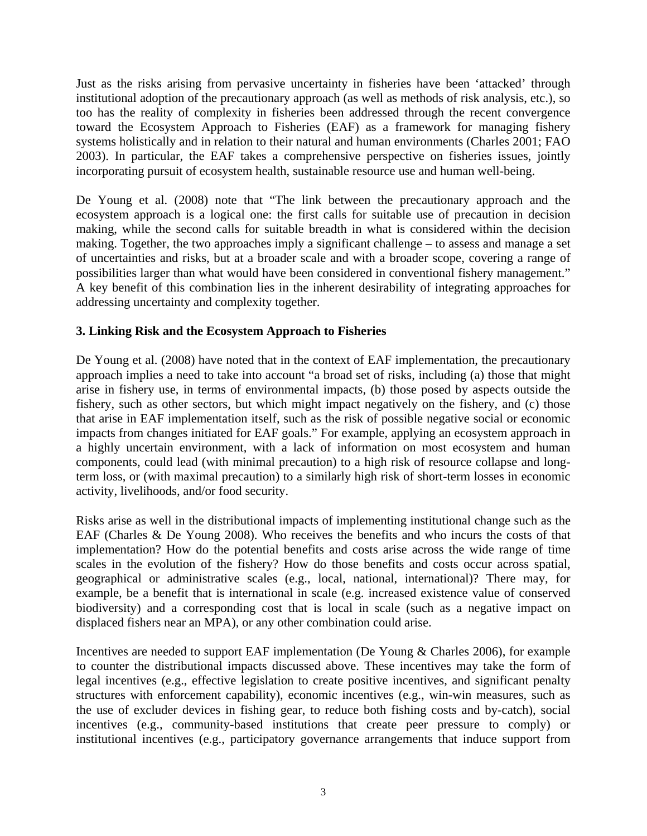Just as the risks arising from pervasive uncertainty in fisheries have been 'attacked' through institutional adoption of the precautionary approach (as well as methods of risk analysis, etc.), so too has the reality of complexity in fisheries been addressed through the recent convergence toward the Ecosystem Approach to Fisheries (EAF) as a framework for managing fishery systems holistically and in relation to their natural and human environments (Charles 2001; FAO 2003). In particular, the EAF takes a comprehensive perspective on fisheries issues, jointly incorporating pursuit of ecosystem health, sustainable resource use and human well-being.

De Young et al. (2008) note that "The link between the precautionary approach and the ecosystem approach is a logical one: the first calls for suitable use of precaution in decision making, while the second calls for suitable breadth in what is considered within the decision making. Together, the two approaches imply a significant challenge – to assess and manage a set of uncertainties and risks, but at a broader scale and with a broader scope, covering a range of possibilities larger than what would have been considered in conventional fishery management." A key benefit of this combination lies in the inherent desirability of integrating approaches for addressing uncertainty and complexity together.

## **3. Linking Risk and the Ecosystem Approach to Fisheries**

De Young et al. (2008) have noted that in the context of EAF implementation, the precautionary approach implies a need to take into account "a broad set of risks, including (a) those that might arise in fishery use, in terms of environmental impacts, (b) those posed by aspects outside the fishery, such as other sectors, but which might impact negatively on the fishery, and (c) those that arise in EAF implementation itself, such as the risk of possible negative social or economic impacts from changes initiated for EAF goals." For example, applying an ecosystem approach in a highly uncertain environment, with a lack of information on most ecosystem and human components, could lead (with minimal precaution) to a high risk of resource collapse and longterm loss, or (with maximal precaution) to a similarly high risk of short-term losses in economic activity, livelihoods, and/or food security.

Risks arise as well in the distributional impacts of implementing institutional change such as the EAF (Charles & De Young 2008). Who receives the benefits and who incurs the costs of that implementation? How do the potential benefits and costs arise across the wide range of time scales in the evolution of the fishery? How do those benefits and costs occur across spatial, geographical or administrative scales (e.g., local, national, international)? There may, for example, be a benefit that is international in scale (e.g. increased existence value of conserved biodiversity) and a corresponding cost that is local in scale (such as a negative impact on displaced fishers near an MPA), or any other combination could arise.

Incentives are needed to support EAF implementation (De Young & Charles 2006), for example to counter the distributional impacts discussed above. These incentives may take the form of legal incentives (e.g., effective legislation to create positive incentives, and significant penalty structures with enforcement capability), economic incentives (e.g., win-win measures, such as the use of excluder devices in fishing gear, to reduce both fishing costs and by-catch), social incentives (e.g., community-based institutions that create peer pressure to comply) or institutional incentives (e.g., participatory governance arrangements that induce support from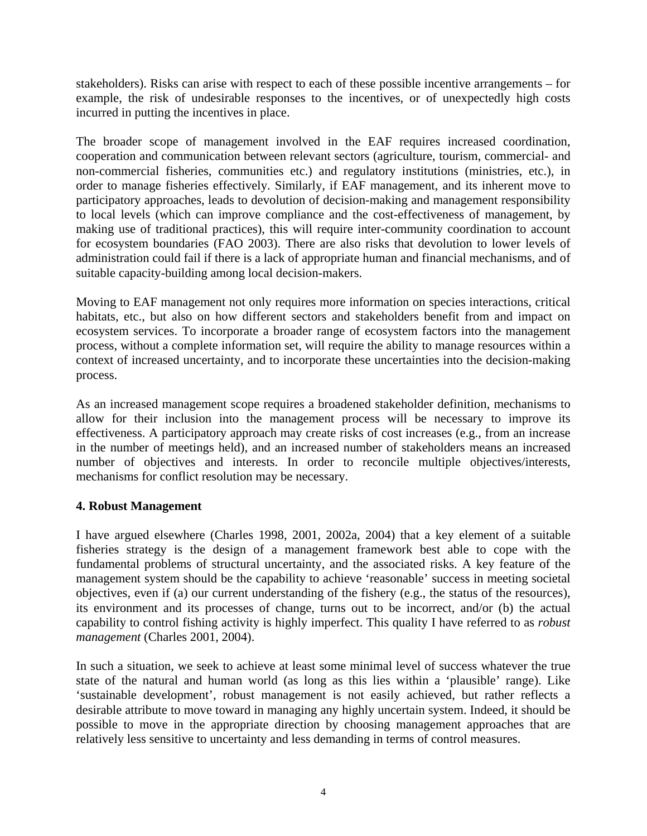stakeholders). Risks can arise with respect to each of these possible incentive arrangements – for example, the risk of undesirable responses to the incentives, or of unexpectedly high costs incurred in putting the incentives in place.

The broader scope of management involved in the EAF requires increased coordination, cooperation and communication between relevant sectors (agriculture, tourism, commercial- and non-commercial fisheries, communities etc.) and regulatory institutions (ministries, etc.), in order to manage fisheries effectively. Similarly, if EAF management, and its inherent move to participatory approaches, leads to devolution of decision-making and management responsibility to local levels (which can improve compliance and the cost-effectiveness of management, by making use of traditional practices), this will require inter-community coordination to account for ecosystem boundaries (FAO 2003). There are also risks that devolution to lower levels of administration could fail if there is a lack of appropriate human and financial mechanisms, and of suitable capacity-building among local decision-makers.

Moving to EAF management not only requires more information on species interactions, critical habitats, etc., but also on how different sectors and stakeholders benefit from and impact on ecosystem services. To incorporate a broader range of ecosystem factors into the management process, without a complete information set, will require the ability to manage resources within a context of increased uncertainty, and to incorporate these uncertainties into the decision-making process.

As an increased management scope requires a broadened stakeholder definition, mechanisms to allow for their inclusion into the management process will be necessary to improve its effectiveness. A participatory approach may create risks of cost increases (e.g., from an increase in the number of meetings held), and an increased number of stakeholders means an increased number of objectives and interests. In order to reconcile multiple objectives/interests, mechanisms for conflict resolution may be necessary.

#### **4. Robust Management**

I have argued elsewhere (Charles 1998, 2001, 2002a, 2004) that a key element of a suitable fisheries strategy is the design of a management framework best able to cope with the fundamental problems of structural uncertainty, and the associated risks. A key feature of the management system should be the capability to achieve 'reasonable' success in meeting societal objectives, even if (a) our current understanding of the fishery (e.g., the status of the resources), its environment and its processes of change, turns out to be incorrect, and/or (b) the actual capability to control fishing activity is highly imperfect. This quality I have referred to as *robust management* (Charles 2001, 2004).

In such a situation, we seek to achieve at least some minimal level of success whatever the true state of the natural and human world (as long as this lies within a 'plausible' range). Like 'sustainable development', robust management is not easily achieved, but rather reflects a desirable attribute to move toward in managing any highly uncertain system. Indeed, it should be possible to move in the appropriate direction by choosing management approaches that are relatively less sensitive to uncertainty and less demanding in terms of control measures.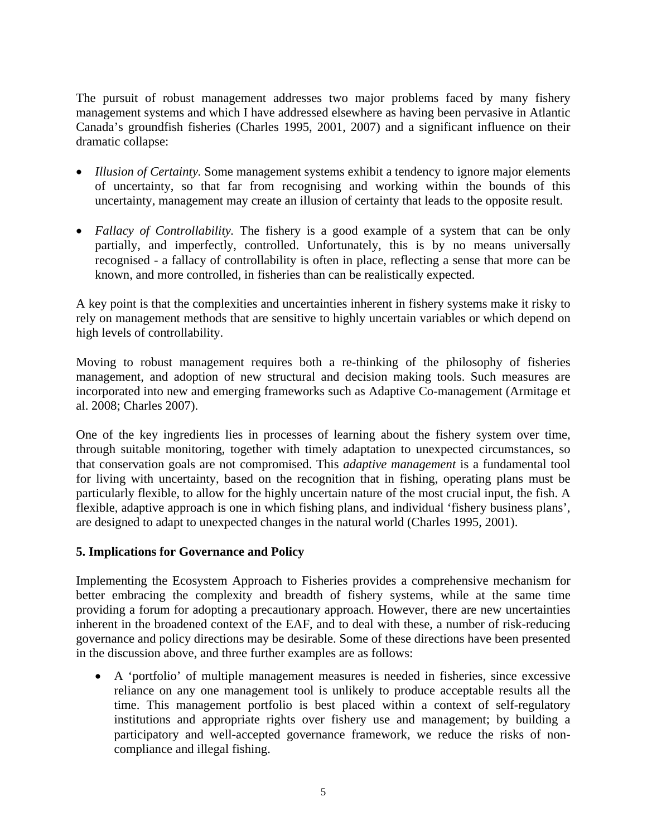The pursuit of robust management addresses two major problems faced by many fishery management systems and which I have addressed elsewhere as having been pervasive in Atlantic Canada's groundfish fisheries (Charles 1995, 2001, 2007) and a significant influence on their dramatic collapse:

- *Illusion of Certainty*. Some management systems exhibit a tendency to ignore major elements of uncertainty, so that far from recognising and working within the bounds of this uncertainty, management may create an illusion of certainty that leads to the opposite result.
- *Fallacy of Controllability*. The fishery is a good example of a system that can be only partially, and imperfectly, controlled. Unfortunately, this is by no means universally recognised - a fallacy of controllability is often in place, reflecting a sense that more can be known, and more controlled, in fisheries than can be realistically expected.

A key point is that the complexities and uncertainties inherent in fishery systems make it risky to rely on management methods that are sensitive to highly uncertain variables or which depend on high levels of controllability.

Moving to robust management requires both a re-thinking of the philosophy of fisheries management, and adoption of new structural and decision making tools. Such measures are incorporated into new and emerging frameworks such as Adaptive Co-management (Armitage et al. 2008; Charles 2007).

One of the key ingredients lies in processes of learning about the fishery system over time, through suitable monitoring, together with timely adaptation to unexpected circumstances, so that conservation goals are not compromised. This *adaptive management* is a fundamental tool for living with uncertainty, based on the recognition that in fishing, operating plans must be particularly flexible, to allow for the highly uncertain nature of the most crucial input, the fish. A flexible, adaptive approach is one in which fishing plans, and individual 'fishery business plans', are designed to adapt to unexpected changes in the natural world (Charles 1995, 2001).

### **5. Implications for Governance and Policy**

Implementing the Ecosystem Approach to Fisheries provides a comprehensive mechanism for better embracing the complexity and breadth of fishery systems, while at the same time providing a forum for adopting a precautionary approach. However, there are new uncertainties inherent in the broadened context of the EAF, and to deal with these, a number of risk-reducing governance and policy directions may be desirable. Some of these directions have been presented in the discussion above, and three further examples are as follows:

• A 'portfolio' of multiple management measures is needed in fisheries, since excessive reliance on any one management tool is unlikely to produce acceptable results all the time. This management portfolio is best placed within a context of self-regulatory institutions and appropriate rights over fishery use and management; by building a participatory and well-accepted governance framework, we reduce the risks of noncompliance and illegal fishing.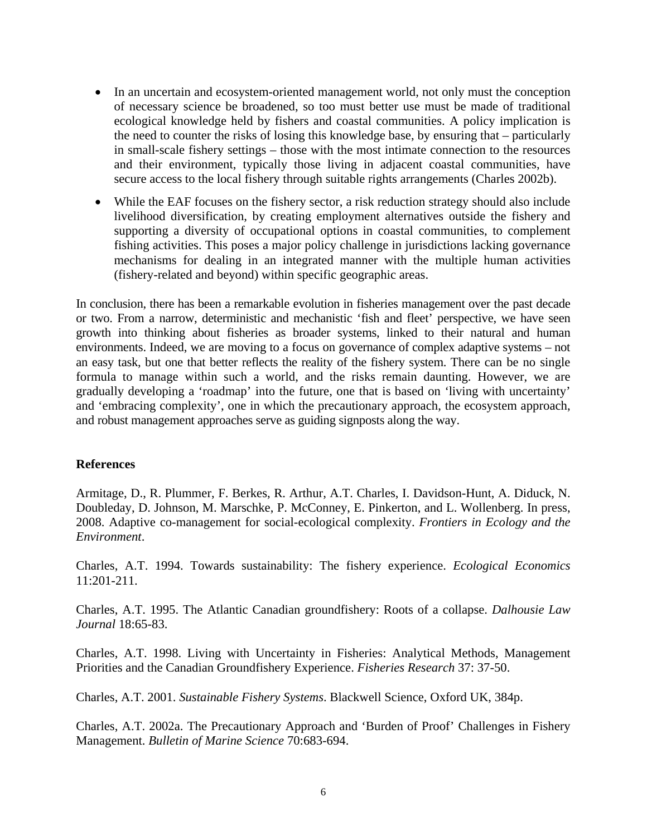- In an uncertain and ecosystem-oriented management world, not only must the conception of necessary science be broadened, so too must better use must be made of traditional ecological knowledge held by fishers and coastal communities. A policy implication is the need to counter the risks of losing this knowledge base, by ensuring that – particularly in small-scale fishery settings – those with the most intimate connection to the resources and their environment, typically those living in adjacent coastal communities, have secure access to the local fishery through suitable rights arrangements (Charles 2002b).
- While the EAF focuses on the fishery sector, a risk reduction strategy should also include livelihood diversification, by creating employment alternatives outside the fishery and supporting a diversity of occupational options in coastal communities, to complement fishing activities. This poses a major policy challenge in jurisdictions lacking governance mechanisms for dealing in an integrated manner with the multiple human activities (fishery-related and beyond) within specific geographic areas.

In conclusion, there has been a remarkable evolution in fisheries management over the past decade or two. From a narrow, deterministic and mechanistic 'fish and fleet' perspective, we have seen growth into thinking about fisheries as broader systems, linked to their natural and human environments. Indeed, we are moving to a focus on governance of complex adaptive systems – not an easy task, but one that better reflects the reality of the fishery system. There can be no single formula to manage within such a world, and the risks remain daunting. However, we are gradually developing a 'roadmap' into the future, one that is based on 'living with uncertainty' and 'embracing complexity', one in which the precautionary approach, the ecosystem approach, and robust management approaches serve as guiding signposts along the way.

#### **References**

Armitage, D., R. Plummer, F. Berkes, R. Arthur, A.T. Charles, I. Davidson-Hunt, A. Diduck, N. Doubleday, D. Johnson, M. Marschke, P. McConney, E. Pinkerton, and L. Wollenberg. In press, 2008. Adaptive co-management for social-ecological complexity. *Frontiers in Ecology and the Environment*.

Charles, A.T. 1994. Towards sustainability: The fishery experience. *Ecological Economics* 11:201-211.

Charles, A.T. 1995. The Atlantic Canadian groundfishery: Roots of a collapse. *Dalhousie Law Journal* 18:65-83.

Charles, A.T. 1998. Living with Uncertainty in Fisheries: Analytical Methods, Management Priorities and the Canadian Groundfishery Experience. *Fisheries Research* 37: 37-50.

Charles, A.T. 2001. *Sustainable Fishery Systems*. Blackwell Science, Oxford UK, 384p.

Charles, A.T. 2002a. The Precautionary Approach and 'Burden of Proof' Challenges in Fishery Management. *Bulletin of Marine Science* 70:683-694.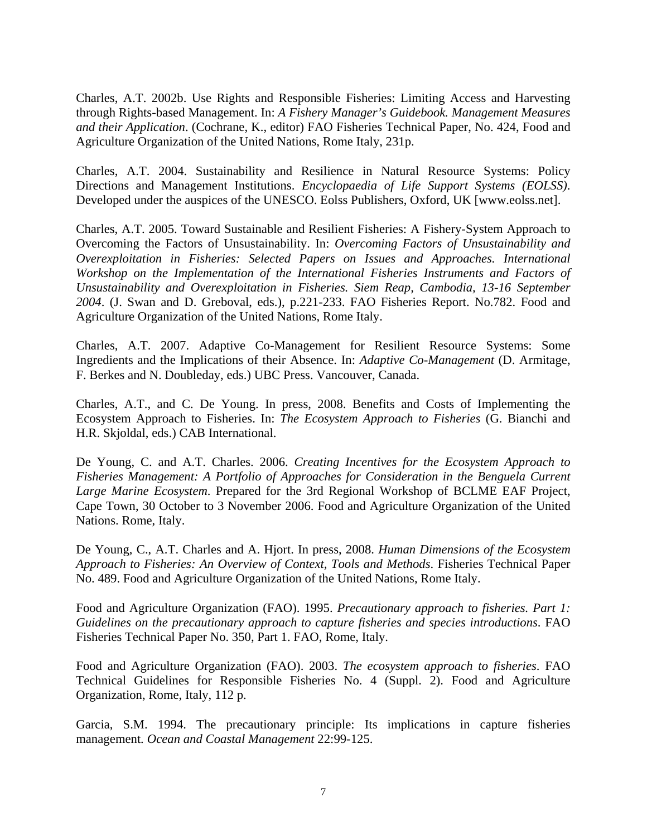Charles, A.T. 2002b. Use Rights and Responsible Fisheries: Limiting Access and Harvesting through Rights-based Management. In: *A Fishery Manager's Guidebook. Management Measures and their Application*. (Cochrane, K., editor) FAO Fisheries Technical Paper, No. 424, Food and Agriculture Organization of the United Nations, Rome Italy, 231p.

Charles, A.T. 2004. Sustainability and Resilience in Natural Resource Systems: Policy Directions and Management Institutions. *Encyclopaedia of Life Support Systems (EOLSS)*. Developed under the auspices of the UNESCO. Eolss Publishers, Oxford, UK [www.eolss.net].

Charles, A.T. 2005. Toward Sustainable and Resilient Fisheries: A Fishery-System Approach to Overcoming the Factors of Unsustainability. In: *Overcoming Factors of Unsustainability and Overexploitation in Fisheries: Selected Papers on Issues and Approaches. International Workshop on the Implementation of the International Fisheries Instruments and Factors of Unsustainability and Overexploitation in Fisheries. Siem Reap, Cambodia, 13-16 September 2004*. (J. Swan and D. Greboval, eds.), p.221-233. FAO Fisheries Report. No.782. Food and Agriculture Organization of the United Nations, Rome Italy.

Charles, A.T. 2007. Adaptive Co-Management for Resilient Resource Systems: Some Ingredients and the Implications of their Absence. In: *Adaptive Co-Management* (D. Armitage, F. Berkes and N. Doubleday, eds.) UBC Press. Vancouver, Canada.

Charles, A.T., and C. De Young. In press, 2008. Benefits and Costs of Implementing the Ecosystem Approach to Fisheries. In: *The Ecosystem Approach to Fisheries* (G. Bianchi and H.R. Skjoldal, eds.) CAB International.

De Young, C. and A.T. Charles. 2006. *Creating Incentives for the Ecosystem Approach to Fisheries Management: A Portfolio of Approaches for Consideration in the Benguela Current Large Marine Ecosystem*. Prepared for the 3rd Regional Workshop of BCLME EAF Project, Cape Town, 30 October to 3 November 2006. Food and Agriculture Organization of the United Nations. Rome, Italy.

De Young, C., A.T. Charles and A. Hjort. In press, 2008. *Human Dimensions of the Ecosystem Approach to Fisheries: An Overview of Context, Tools and Methods*. Fisheries Technical Paper No. 489. Food and Agriculture Organization of the United Nations, Rome Italy.

Food and Agriculture Organization (FAO). 1995. *Precautionary approach to fisheries. Part 1: Guidelines on the precautionary approach to capture fisheries and species introductions*. FAO Fisheries Technical Paper No. 350, Part 1. FAO, Rome, Italy.

Food and Agriculture Organization (FAO). 2003. *The ecosystem approach to fisheries*. FAO Technical Guidelines for Responsible Fisheries No. 4 (Suppl. 2). Food and Agriculture Organization, Rome, Italy, 112 p.

Garcia, S.M. 1994. The precautionary principle: Its implications in capture fisheries management*. Ocean and Coastal Management* 22:99-125.